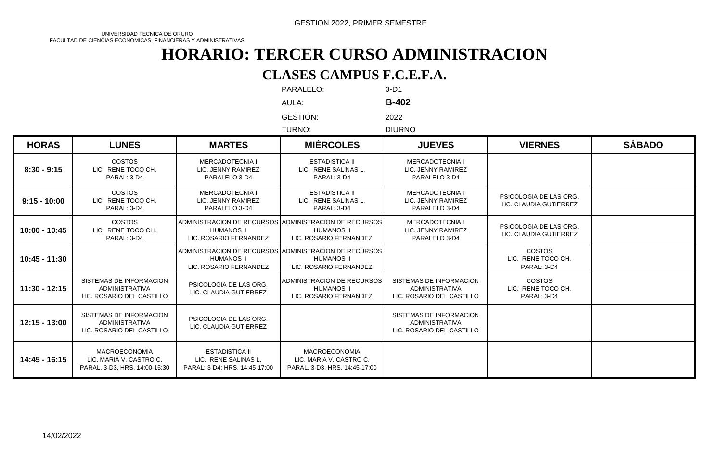UNIVERSIDAD TECNICA DE ORURO FACULTAD DE CIENCIAS ECONOMICAS, FINANCIERAS Y ADMINISTRATIVAS

# **HORARIO: TERCER CURSO ADMINISTRACION**

#### **CLASES CAMPUS F.C.E.F.A.**

|                 |                                                                                  |                                                                                | PARALELO:                                                                                           | 3-D1                                                                          |                                                    |               |
|-----------------|----------------------------------------------------------------------------------|--------------------------------------------------------------------------------|-----------------------------------------------------------------------------------------------------|-------------------------------------------------------------------------------|----------------------------------------------------|---------------|
|                 |                                                                                  |                                                                                | AULA:                                                                                               | <b>B-402</b>                                                                  |                                                    |               |
|                 |                                                                                  |                                                                                | <b>GESTION:</b><br>TURNO:                                                                           | 2022<br><b>DIURNO</b>                                                         |                                                    |               |
| <b>HORAS</b>    | <b>LUNES</b>                                                                     | <b>MARTES</b>                                                                  | <b>MIÉRCOLES</b>                                                                                    | <b>JUEVES</b>                                                                 | <b>VIERNES</b>                                     | <b>SÁBADO</b> |
| $8:30 - 9:15$   | <b>COSTOS</b><br>LIC. RENE TOCO CH.<br>PARAL: 3-D4                               | <b>MERCADOTECNIA I</b><br>LIC. JENNY RAMIREZ<br>PARALELO 3-D4                  | <b>ESTADISTICA II</b><br>LIC. RENE SALINAS L.<br>PARAL: 3-D4                                        | MERCADOTECNIA I<br>LIC. JENNY RAMIREZ<br>PARALELO 3-D4                        |                                                    |               |
| $9:15 - 10:00$  | <b>COSTOS</b><br>LIC. RENE TOCO CH.<br>PARAL: 3-D4                               | <b>MERCADOTECNIA I</b><br>LIC. JENNY RAMIREZ<br>PARALELO 3-D4                  | <b>ESTADISTICA II</b><br>LIC. RENE SALINAS L.<br>PARAL: 3-D4                                        | <b>MERCADOTECNIA I</b><br>LIC. JENNY RAMIREZ<br>PARALELO 3-D4                 | PSICOLOGIA DE LAS ORG.<br>LIC. CLAUDIA GUTIERREZ   |               |
| 10:00 - 10:45   | <b>COSTOS</b><br>LIC. RENE TOCO CH.<br>PARAL: 3-D4                               | <b>HUMANOS I</b><br>LIC. ROSARIO FERNANDEZ                                     | ADMINISTRACION DE RECURSOS ADMINISTRACION DE RECURSOS<br><b>HUMANOS I</b><br>LIC. ROSARIO FERNANDEZ | <b>MERCADOTECNIA I</b><br>LIC. JENNY RAMIREZ<br>PARALELO 3-D4                 | PSICOLOGIA DE LAS ORG.<br>LIC. CLAUDIA GUTIERREZ   |               |
| $10:45 - 11:30$ |                                                                                  | <b>HUMANOS I</b><br>LIC. ROSARIO FERNANDEZ                                     | ADMINISTRACION DE RECURSOS ADMINISTRACION DE RECURSOS<br><b>HUMANOS I</b><br>LIC. ROSARIO FERNANDEZ |                                                                               | <b>COSTOS</b><br>LIC. RENE TOCO CH.<br>PARAL: 3-D4 |               |
| $11:30 - 12:15$ | SISTEMAS DE INFORMACION<br><b>ADMINISTRATIVA</b><br>LIC. ROSARIO DEL CASTILLO    | PSICOLOGIA DE LAS ORG.<br>LIC. CLAUDIA GUTIERREZ                               | ADMINISTRACION DE RECURSOS<br><b>HUMANOS I</b><br>LIC. ROSARIO FERNANDEZ                            | SISTEMAS DE INFORMACION<br><b>ADMINISTRATIVA</b><br>LIC. ROSARIO DEL CASTILLO | <b>COSTOS</b><br>LIC. RENE TOCO CH.<br>PARAL: 3-D4 |               |
| 12:15 - 13:00   | SISTEMAS DE INFORMACION<br><b>ADMINISTRATIVA</b><br>LIC. ROSARIO DEL CASTILLO    | PSICOLOGIA DE LAS ORG.<br>LIC. CLAUDIA GUTIERREZ                               |                                                                                                     | SISTEMAS DE INFORMACION<br><b>ADMINISTRATIVA</b><br>LIC. ROSARIO DEL CASTILLO |                                                    |               |
| 14:45 - 16:15   | <b>MACROECONOMIA</b><br>LIC. MARIA V. CASTRO C.<br>PARAL. 3-D3, HRS. 14:00-15:30 | <b>ESTADISTICA II</b><br>LIC. RENE SALINAS L.<br>PARAL: 3-D4; HRS. 14:45-17:00 | <b>MACROECONOMIA</b><br>LIC. MARIA V. CASTRO C.<br>PARAL. 3-D3, HRS. 14:45-17:00                    |                                                                               |                                                    |               |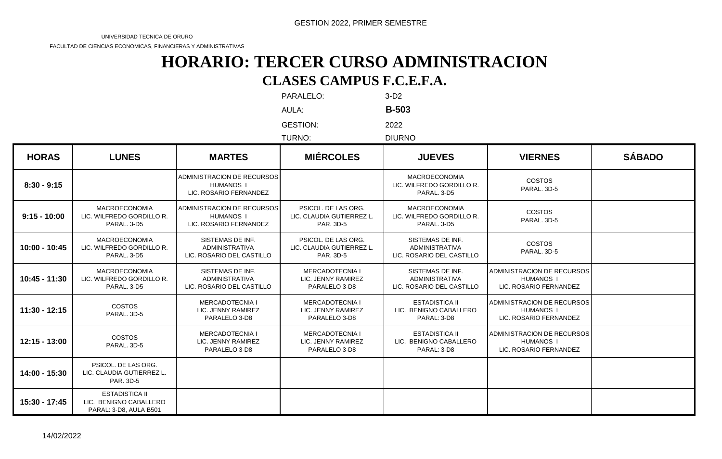FACULTAD DE CIENCIAS ECONOMICAS, FINANCIERAS Y ADMINISTRATIVAS

#### **HORARIO: TERCER CURSO ADMINISTRACION CLASES CAMPUS F.C.E.F.A.**

PARALELO: 3-D2

AULA: **B-503**

GESTION: 2022

TURNO: DIURNO

| <b>HORAS</b>    | <b>LUNES</b>                                                              | <b>MARTES</b>                                                            | <b>MIÉRCOLES</b>                                              | <b>JUEVES</b>                                                          | <b>VIERNES</b>                                                           | <b>SÁBADO</b> |
|-----------------|---------------------------------------------------------------------------|--------------------------------------------------------------------------|---------------------------------------------------------------|------------------------------------------------------------------------|--------------------------------------------------------------------------|---------------|
| $8:30 - 9:15$   |                                                                           | ADMINISTRACION DE RECURSOS<br><b>HUMANOS I</b><br>LIC. ROSARIO FERNANDEZ |                                                               | <b>MACROECONOMIA</b><br>LIC. WILFREDO GORDILLO R.<br>PARAL, 3-D5       | <b>COSTOS</b><br>PARAL, 3D-5                                             |               |
| $9:15 - 10:00$  | <b>MACROECONOMIA</b><br>LIC. WILFREDO GORDILLO R.<br>PARAL, 3-D5          | ADMINISTRACION DE RECURSOS<br><b>HUMANOS I</b><br>LIC. ROSARIO FERNANDEZ | PSICOL. DE LAS ORG.<br>LIC. CLAUDIA GUTIERREZ L.<br>PAR. 3D-5 | <b>MACROECONOMIA</b><br>LIC. WILFREDO GORDILLO R.<br>PARAL, 3-D5       | <b>COSTOS</b><br>PARAL, 3D-5                                             |               |
| 10:00 - 10:45   | <b>MACROECONOMIA</b><br>LIC. WILFREDO GORDILLO R.<br>PARAL, 3-D5          | SISTEMAS DE INF.<br><b>ADMINISTRATIVA</b><br>LIC. ROSARIO DEL CASTILLO   | PSICOL. DE LAS ORG.<br>LIC. CLAUDIA GUTIERREZ L.<br>PAR. 3D-5 | SISTEMAS DE INF.<br><b>ADMINISTRATIVA</b><br>LIC. ROSARIO DEL CASTILLO | <b>COSTOS</b><br>PARAL. 3D-5                                             |               |
| 10:45 - 11:30   | <b>MACROECONOMIA</b><br>LIC. WILFREDO GORDILLO R.<br>PARAL, 3-D5          | SISTEMAS DE INF.<br><b>ADMINISTRATIVA</b><br>LIC. ROSARIO DEL CASTILLO   | MERCADOTECNIA I<br>LIC. JENNY RAMIREZ<br>PARALELO 3-D8        | SISTEMAS DE INF.<br><b>ADMINISTRATIVA</b><br>LIC. ROSARIO DEL CASTILLO | ADMINISTRACION DE RECURSOS<br><b>HUMANOS I</b><br>LIC. ROSARIO FERNANDEZ |               |
| $11:30 - 12:15$ | <b>COSTOS</b><br>PARAL, 3D-5                                              | <b>MERCADOTECNIA I</b><br>LIC. JENNY RAMIREZ<br>PARALELO 3-D8            | <b>MERCADOTECNIA I</b><br>LIC. JENNY RAMIREZ<br>PARALELO 3-D8 | <b>ESTADISTICA II</b><br>LIC. BENIGNO CABALLERO<br>PARAL: 3-D8         | ADMINISTRACION DE RECURSOS<br><b>HUMANOS I</b><br>LIC. ROSARIO FERNANDEZ |               |
| $12:15 - 13:00$ | <b>COSTOS</b><br>PARAL, 3D-5                                              | MERCADOTECNIA I<br>LIC. JENNY RAMIREZ<br>PARALELO 3-D8                   | <b>MERCADOTECNIA I</b><br>LIC. JENNY RAMIREZ<br>PARALELO 3-D8 | <b>ESTADISTICA II</b><br>LIC. BENIGNO CABALLERO<br>PARAL: 3-D8         | ADMINISTRACION DE RECURSOS<br><b>HUMANOS I</b><br>LIC. ROSARIO FERNANDEZ |               |
| 14:00 - 15:30   | PSICOL. DE LAS ORG.<br>LIC. CLAUDIA GUTIERREZ L.<br>PAR. 3D-5             |                                                                          |                                                               |                                                                        |                                                                          |               |
| 15:30 - 17:45   | <b>ESTADISTICA II</b><br>LIC. BENIGNO CABALLERO<br>PARAL: 3-D8, AULA B501 |                                                                          |                                                               |                                                                        |                                                                          |               |

14/02/2022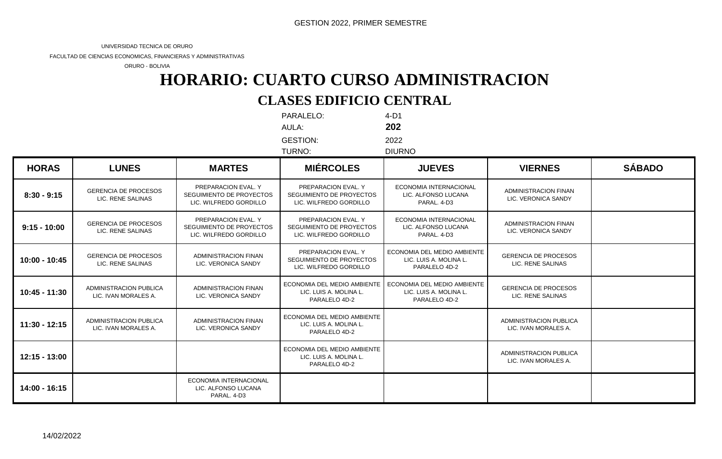FACULTAD DE CIENCIAS ECONOMICAS, FINANCIERAS Y ADMINISTRATIVAS

ORURO - BOLIVIA

# **CLASES EDIFICIO CENTRAL HORARIO: CUARTO CURSO ADMINISTRACION**

PARALELO: 4-D1 AULA: **202** GESTION: 2022

| TURNO: | <b>DIURNO</b> |
|--------|---------------|

| <b>HORAS</b>    | <b>LUNES</b>                                          | <b>MARTES</b>                                                             | <b>MIÉRCOLES</b>                                                          | <b>JUEVES</b>                                                          | <b>VIERNES</b>                                        | <b>SÁBADO</b> |
|-----------------|-------------------------------------------------------|---------------------------------------------------------------------------|---------------------------------------------------------------------------|------------------------------------------------------------------------|-------------------------------------------------------|---------------|
| $8:30 - 9:15$   | <b>GERENCIA DE PROCESOS</b><br>LIC. RENE SALINAS      | PREPARACION EVAL. Y<br>SEGUIMIENTO DE PROYECTOS<br>LIC. WILFREDO GORDILLO | PREPARACION EVAL. Y<br>SEGUIMIENTO DE PROYECTOS<br>LIC. WILFREDO GORDILLO | ECONOMIA INTERNACIONAL<br>LIC. ALFONSO LUCANA<br>PARAL, 4-D3           | <b>ADMINISTRACION FINAN</b><br>LIC. VERONICA SANDY    |               |
| $9:15 - 10:00$  | <b>GERENCIA DE PROCESOS</b><br>LIC. RENE SALINAS      | PREPARACION EVAL. Y<br>SEGUIMIENTO DE PROYECTOS<br>LIC. WILFREDO GORDILLO | PREPARACION EVAL. Y<br>SEGUIMIENTO DE PROYECTOS<br>LIC. WILFREDO GORDILLO | <b>ECONOMIA INTERNACIONAL</b><br>LIC. ALFONSO LUCANA<br>PARAL. 4-D3    | <b>ADMINISTRACION FINAN</b><br>LIC. VERONICA SANDY    |               |
| 10:00 - 10:45   | <b>GERENCIA DE PROCESOS</b><br>LIC. RENE SALINAS      | <b>ADMINISTRACION FINAN</b><br>LIC. VERONICA SANDY                        | PREPARACION EVAL. Y<br>SEGUIMIENTO DE PROYECTOS<br>LIC. WILFREDO GORDILLO | ECONOMIA DEL MEDIO AMBIENTE<br>LIC. LUIS A. MOLINA L.<br>PARALELO 4D-2 | <b>GERENCIA DE PROCESOS</b><br>LIC. RENE SALINAS      |               |
| 10:45 - 11:30   | ADMINISTRACION PUBLICA<br>LIC. IVAN MORALES A.        | ADMINISTRACION FINAN<br>LIC. VERONICA SANDY                               | ECONOMIA DEL MEDIO AMBIENTE<br>LIC. LUIS A. MOLINA L.<br>PARALELO 4D-2    | ECONOMIA DEL MEDIO AMBIENTE<br>LIC. LUIS A. MOLINA L.<br>PARALELO 4D-2 | <b>GERENCIA DE PROCESOS</b><br>LIC. RENE SALINAS      |               |
| $11:30 - 12:15$ | <b>ADMINISTRACION PUBLICA</b><br>LIC. IVAN MORALES A. | <b>ADMINISTRACION FINAN</b><br>LIC. VERONICA SANDY                        | ECONOMIA DEL MEDIO AMBIENTE<br>LIC. LUIS A. MOLINA L.<br>PARALELO 4D-2    |                                                                        | <b>ADMINISTRACION PUBLICA</b><br>LIC. IVAN MORALES A. |               |
| $12:15 - 13:00$ |                                                       |                                                                           | ECONOMIA DEL MEDIO AMBIENTE<br>LIC. LUIS A. MOLINA L.<br>PARALELO 4D-2    |                                                                        | <b>ADMINISTRACION PUBLICA</b><br>LIC. IVAN MORALES A. |               |
| 14:00 - 16:15   |                                                       | ECONOMIA INTERNACIONAL<br>LIC. ALFONSO LUCANA<br>PARAL, 4-D3              |                                                                           |                                                                        |                                                       |               |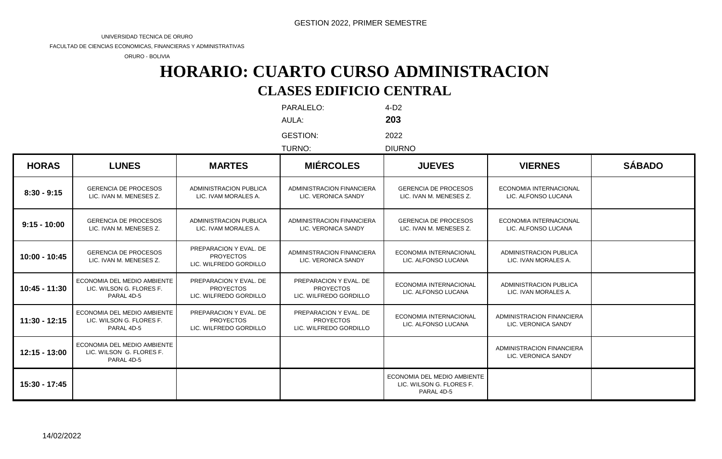FACULTAD DE CIENCIAS ECONOMICAS, FINANCIERAS Y ADMINISTRATIVAS

ORURO - BOLIVIA

# **CLASES EDIFICIO CENTRAL HORARIO: CUARTO CURSO ADMINISTRACION**

PARALELO: 4-D2 AULA: **203**

GESTION: 2022

TURNO: DIURNO

| <b>HORAS</b>    | <b>LUNES</b>                                                          | <b>MARTES</b>                                                        | <b>MIÉRCOLES</b>                                                     | <b>JUEVES</b>                                                         | <b>VIERNES</b>                                        | <b>SÁBADO</b> |
|-----------------|-----------------------------------------------------------------------|----------------------------------------------------------------------|----------------------------------------------------------------------|-----------------------------------------------------------------------|-------------------------------------------------------|---------------|
| $8:30 - 9:15$   | <b>GERENCIA DE PROCESOS</b><br>LIC. IVAN M. MENESES Z.                | <b>ADMINISTRACION PUBLICA</b><br>LIC. IVAM MORALES A.                | ADMINISTRACION FINANCIERA<br>LIC. VERONICA SANDY                     | <b>GERENCIA DE PROCESOS</b><br>LIC. IVAN M. MENESES Z.                | <b>ECONOMIA INTERNACIONAL</b><br>LIC. ALFONSO LUCANA  |               |
| $9:15 - 10:00$  | <b>GERENCIA DE PROCESOS</b><br>LIC. IVAN M. MENESES Z.                | <b>ADMINISTRACION PUBLICA</b><br>LIC. IVAM MORALES A.                | ADMINISTRACION FINANCIERA<br>LIC. VERONICA SANDY                     | <b>GERENCIA DE PROCESOS</b><br>LIC. IVAN M. MENESES Z.                | <b>ECONOMIA INTERNACIONAL</b><br>LIC. ALFONSO LUCANA  |               |
| 10:00 - 10:45   | <b>GERENCIA DE PROCESOS</b><br>LIC. IVAN M. MENESES Z.                | PREPARACION Y EVAL. DE<br><b>PROYECTOS</b><br>LIC. WILFREDO GORDILLO | ADMINISTRACION FINANCIERA<br>LIC. VERONICA SANDY                     | ECONOMIA INTERNACIONAL<br>LIC. ALFONSO LUCANA                         | <b>ADMINISTRACION PUBLICA</b><br>LIC. IVAN MORALES A. |               |
| 10:45 - 11:30   | ECONOMIA DEL MEDIO AMBIENTE<br>LIC. WILSON G. FLORES F.<br>PARAL 4D-5 | PREPARACION Y EVAL. DE<br><b>PROYECTOS</b><br>LIC. WILFREDO GORDILLO | PREPARACION Y EVAL. DE<br><b>PROYECTOS</b><br>LIC. WILFREDO GORDILLO | ECONOMIA INTERNACIONAL<br>LIC. ALFONSO LUCANA                         | <b>ADMINISTRACION PUBLICA</b><br>LIC. IVAN MORALES A. |               |
| $11:30 - 12:15$ | ECONOMIA DEL MEDIO AMBIENTE<br>LIC. WILSON G. FLORES F.<br>PARAL 4D-5 | PREPARACION Y EVAL, DE<br><b>PROYECTOS</b><br>LIC. WILFREDO GORDILLO | PREPARACION Y EVAL. DE<br><b>PROYECTOS</b><br>LIC. WILFREDO GORDILLO | <b>ECONOMIA INTERNACIONAL</b><br>LIC. ALFONSO LUCANA                  | ADMINISTRACION FINANCIERA<br>LIC. VERONICA SANDY      |               |
| 12:15 - 13:00   | ECONOMIA DEL MEDIO AMBIENTE<br>LIC. WILSON G. FLORES F.<br>PARAL 4D-5 |                                                                      |                                                                      |                                                                       | ADMINISTRACION FINANCIERA<br>LIC. VERONICA SANDY      |               |
| 15:30 - 17:45   |                                                                       |                                                                      |                                                                      | ECONOMIA DEL MEDIO AMBIENTE<br>LIC. WILSON G. FLORES F.<br>PARAL 4D-5 |                                                       |               |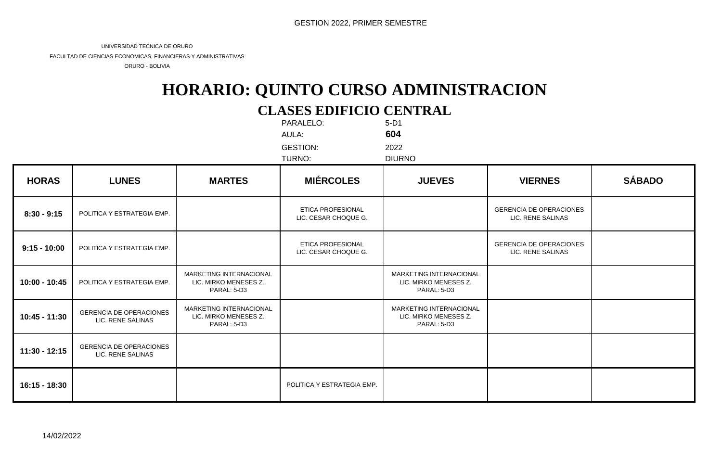FACULTAD DE CIENCIAS ECONOMICAS, FINANCIERAS Y ADMINISTRATIVAS

ORURO - BOLIVIA

# **CLASES EDIFICIO CENTRAL HORARIO: QUINTO CURSO ADMINISTRACION**

|                |                                                     |                                                                 | PARALELO:<br>AULA:<br><b>GESTION:</b><br>TURNO:  | $5-D1$<br>604<br>2022<br><b>DIURNO</b>                          |                                                     |               |
|----------------|-----------------------------------------------------|-----------------------------------------------------------------|--------------------------------------------------|-----------------------------------------------------------------|-----------------------------------------------------|---------------|
| <b>HORAS</b>   | <b>LUNES</b>                                        | <b>MARTES</b>                                                   | <b>MIÉRCOLES</b>                                 | <b>JUEVES</b>                                                   | <b>VIERNES</b>                                      | <b>SÁBADO</b> |
| $8:30 - 9:15$  | POLITICA Y ESTRATEGIA EMP.                          |                                                                 | <b>ETICA PROFESIONAL</b><br>LIC. CESAR CHOQUE G. |                                                                 | <b>GERENCIA DE OPERACIONES</b><br>LIC. RENE SALINAS |               |
| $9:15 - 10:00$ | POLITICA Y ESTRATEGIA EMP.                          |                                                                 | ETICA PROFESIONAL<br>LIC. CESAR CHOQUE G.        |                                                                 | <b>GERENCIA DE OPERACIONES</b><br>LIC. RENE SALINAS |               |
| 10:00 - 10:45  | POLITICA Y ESTRATEGIA EMP.                          | MARKETING INTERNACIONAL<br>LIC. MIRKO MENESES Z.<br>PARAL: 5-D3 |                                                  | MARKETING INTERNACIONAL<br>LIC. MIRKO MENESES Z.<br>PARAL: 5-D3 |                                                     |               |
| 10:45 - 11:30  | <b>GERENCIA DE OPERACIONES</b><br>LIC. RENE SALINAS | MARKETING INTERNACIONAL<br>LIC. MIRKO MENESES Z.<br>PARAL: 5-D3 |                                                  | MARKETING INTERNACIONAL<br>LIC. MIRKO MENESES Z.<br>PARAL: 5-D3 |                                                     |               |
| 11:30 - 12:15  | <b>GERENCIA DE OPERACIONES</b><br>LIC. RENE SALINAS |                                                                 |                                                  |                                                                 |                                                     |               |
| 16:15 - 18:30  |                                                     |                                                                 | POLITICA Y ESTRATEGIA EMP.                       |                                                                 |                                                     |               |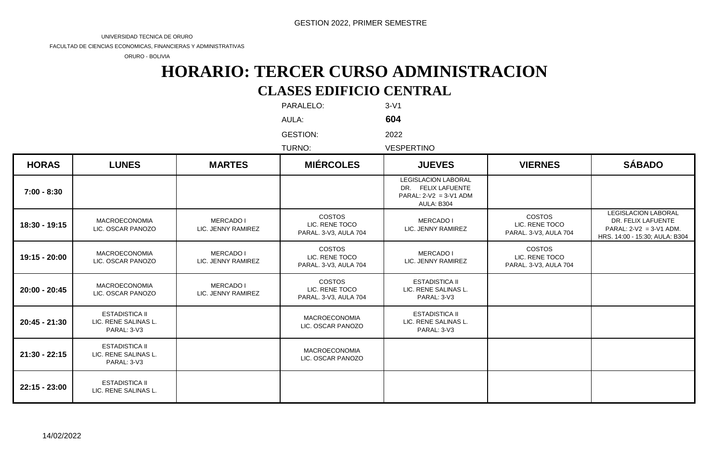FACULTAD DE CIENCIAS ECONOMICAS, FINANCIERAS Y ADMINISTRATIVAS

ORURO - BOLIVIA

# **CLASES EDIFICIO CENTRAL HORARIO: TERCER CURSO ADMINISTRACION**

PARALELO: 3-V1 AULA: **604**

GESTION: 2022

TURNO: VESPERTINO

| <b>HORAS</b>    | <b>LUNES</b>                                                 | <b>MARTES</b>                   | <b>MIÉRCOLES</b>                                         | <b>JUEVES</b>                                                                              | <b>VIERNES</b>                                           | <b>SÁBADO</b>                                                                                                   |
|-----------------|--------------------------------------------------------------|---------------------------------|----------------------------------------------------------|--------------------------------------------------------------------------------------------|----------------------------------------------------------|-----------------------------------------------------------------------------------------------------------------|
| $7:00 - 8:30$   |                                                              |                                 |                                                          | <b>LEGISLACION LABORAL</b><br>DR. FELIX LAFUENTE<br>PARAL: $2-V2 = 3-V1$ ADM<br>AULA: B304 |                                                          |                                                                                                                 |
| 18:30 - 19:15   | <b>MACROECONOMIA</b><br>LIC. OSCAR PANOZO                    | MERCADO I<br>LIC. JENNY RAMIREZ | <b>COSTOS</b><br>LIC. RENE TOCO<br>PARAL. 3-V3, AULA 704 | <b>MERCADO I</b><br>LIC. JENNY RAMIREZ                                                     | <b>COSTOS</b><br>LIC. RENE TOCO<br>PARAL. 3-V3, AULA 704 | <b>LEGISLACION LABORAL</b><br>DR. FELIX LAFUENTE<br>PARAL: $2-V2 = 3-V1$ ADM.<br>HRS. 14:00 - 15:30; AULA: B304 |
| 19:15 - 20:00   | <b>MACROECONOMIA</b><br>LIC. OSCAR PANOZO                    | MERCADO I<br>LIC. JENNY RAMIREZ | <b>COSTOS</b><br>LIC. RENE TOCO<br>PARAL. 3-V3, AULA 704 | <b>MERCADO I</b><br>LIC. JENNY RAMIREZ                                                     | <b>COSTOS</b><br>LIC. RENE TOCO<br>PARAL. 3-V3, AULA 704 |                                                                                                                 |
| 20:00 - 20:45   | <b>MACROECONOMIA</b><br>LIC. OSCAR PANOZO                    | MERCADO I<br>LIC. JENNY RAMIREZ | <b>COSTOS</b><br>LIC. RENE TOCO<br>PARAL. 3-V3, AULA 704 | <b>ESTADISTICA II</b><br>LIC. RENE SALINAS L.<br>PARAL: 3-V3                               |                                                          |                                                                                                                 |
| 20:45 - 21:30   | <b>ESTADISTICA II</b><br>LIC. RENE SALINAS L.<br>PARAL: 3-V3 |                                 | <b>MACROECONOMIA</b><br>LIC. OSCAR PANOZO                | <b>ESTADISTICA II</b><br>LIC. RENE SALINAS L.<br>PARAL: 3-V3                               |                                                          |                                                                                                                 |
| 21:30 - 22:15   | <b>ESTADISTICA II</b><br>LIC. RENE SALINAS L.<br>PARAL: 3-V3 |                                 | <b>MACROECONOMIA</b><br>LIC. OSCAR PANOZO                |                                                                                            |                                                          |                                                                                                                 |
| $22:15 - 23:00$ | <b>ESTADISTICA II</b><br>LIC. RENE SALINAS L.                |                                 |                                                          |                                                                                            |                                                          |                                                                                                                 |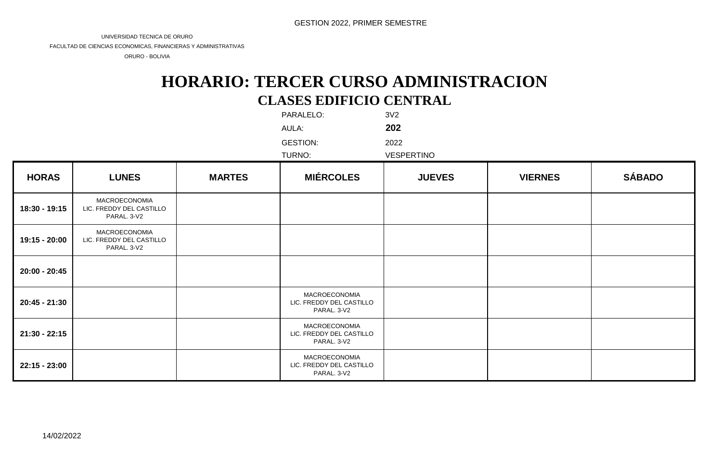FACULTAD DE CIENCIAS ECONOMICAS, FINANCIERAS Y ADMINISTRATIVAS

ORURO - BOLIVIA

### **CLASES EDIFICIO CENTRAL HORARIO: TERCER CURSO ADMINISTRACION**

|                 |                                                          |               | PARALELO:<br>AULA:                                              | 3V <sub>2</sub><br>202    |                |               |
|-----------------|----------------------------------------------------------|---------------|-----------------------------------------------------------------|---------------------------|----------------|---------------|
|                 |                                                          |               | <b>GESTION:</b><br>TURNO:                                       | 2022<br><b>VESPERTINO</b> |                |               |
| <b>HORAS</b>    | <b>LUNES</b>                                             | <b>MARTES</b> | <b>MIÉRCOLES</b>                                                | <b>JUEVES</b>             | <b>VIERNES</b> | <b>SÁBADO</b> |
| 18:30 - 19:15   | MACROECONOMIA<br>LIC. FREDDY DEL CASTILLO<br>PARAL. 3-V2 |               |                                                                 |                           |                |               |
| 19:15 - 20:00   | MACROECONOMIA<br>LIC. FREDDY DEL CASTILLO<br>PARAL. 3-V2 |               |                                                                 |                           |                |               |
| 20:00 - 20:45   |                                                          |               |                                                                 |                           |                |               |
| 20:45 - 21:30   |                                                          |               | MACROECONOMIA<br>LIC. FREDDY DEL CASTILLO<br>PARAL. 3-V2        |                           |                |               |
| $21:30 - 22:15$ |                                                          |               | MACROECONOMIA<br>LIC. FREDDY DEL CASTILLO<br>PARAL. 3-V2        |                           |                |               |
| $22:15 - 23:00$ |                                                          |               | <b>MACROECONOMIA</b><br>LIC. FREDDY DEL CASTILLO<br>PARAL. 3-V2 |                           |                |               |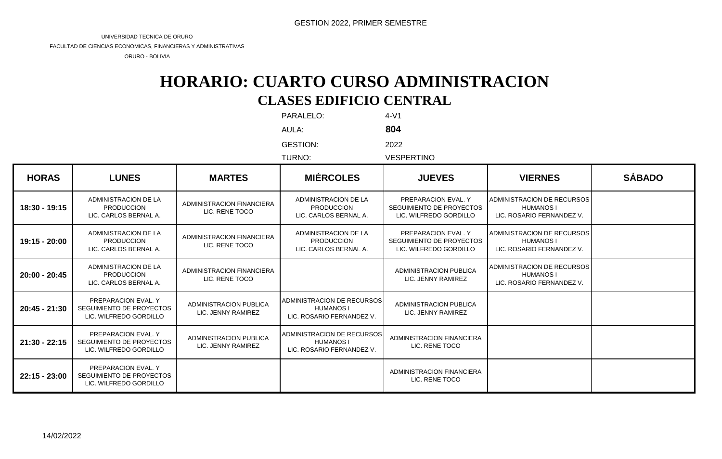FACULTAD DE CIENCIAS ECONOMICAS, FINANCIERAS Y ADMINISTRATIVAS

ORURO - BOLIVIA

## **CLASES EDIFICIO CENTRAL HORARIO: CUARTO CURSO ADMINISTRACION**

|               |                                                                           |                                              | PARALELO:                                                                   | $4-V1$                                                                    |                                                                             |               |
|---------------|---------------------------------------------------------------------------|----------------------------------------------|-----------------------------------------------------------------------------|---------------------------------------------------------------------------|-----------------------------------------------------------------------------|---------------|
|               |                                                                           |                                              | AULA:                                                                       | 804                                                                       |                                                                             |               |
|               |                                                                           |                                              | <b>GESTION:</b>                                                             | 2022                                                                      |                                                                             |               |
|               |                                                                           |                                              | TURNO:                                                                      | <b>VESPERTINO</b>                                                         |                                                                             |               |
| <b>HORAS</b>  | <b>LUNES</b>                                                              | <b>MARTES</b>                                | <b>MIÉRCOLES</b>                                                            | <b>JUEVES</b>                                                             | <b>VIERNES</b>                                                              | <b>SÁBADO</b> |
| 18:30 - 19:15 | ADMINISTRACION DE LA<br><b>PRODUCCION</b><br>LIC. CARLOS BERNAL A.        | ADMINISTRACION FINANCIERA<br>LIC. RENE TOCO  | ADMINISTRACION DE LA<br><b>PRODUCCION</b><br>LIC. CARLOS BERNAL A.          | PREPARACION EVAL. Y<br>SEGUIMIENTO DE PROYECTOS<br>LIC. WILFREDO GORDILLO | ADMINISTRACION DE RECURSOS<br><b>HUMANOS I</b><br>LIC. ROSARIO FERNANDEZ V. |               |
| 19:15 - 20:00 | ADMINISTRACION DE LA<br><b>PRODUCCION</b><br>LIC. CARLOS BERNAL A.        | ADMINISTRACION FINANCIERA<br>LIC. RENE TOCO  | ADMINISTRACION DE LA<br><b>PRODUCCION</b><br>LIC. CARLOS BERNAL A.          | PREPARACION EVAL. Y<br>SEGUIMIENTO DE PROYECTOS<br>LIC. WILFREDO GORDILLO | ADMINISTRACION DE RECURSOS<br><b>HUMANOS I</b><br>LIC. ROSARIO FERNANDEZ V. |               |
| 20:00 - 20:45 | ADMINISTRACION DE LA<br><b>PRODUCCION</b><br>LIC. CARLOS BERNAL A.        | ADMINISTRACION FINANCIERA<br>LIC. RENE TOCO  |                                                                             | ADMINISTRACION PUBLICA<br>LIC. JENNY RAMIREZ                              | ADMINISTRACION DE RECURSOS<br><b>HUMANOS I</b><br>LIC. ROSARIO FERNANDEZ V. |               |
| 20:45 - 21:30 | PREPARACION EVAL. Y<br>SEGUIMIENTO DE PROYECTOS<br>LIC. WILFREDO GORDILLO | ADMINISTRACION PUBLICA<br>LIC. JENNY RAMIREZ | ADMINISTRACION DE RECURSOS<br><b>HUMANOS I</b><br>LIC. ROSARIO FERNANDEZ V. | ADMINISTRACION PUBLICA<br>LIC. JENNY RAMIREZ                              |                                                                             |               |
| 21:30 - 22:15 | PREPARACION EVAL, Y<br>SEGUIMIENTO DE PROYECTOS<br>LIC. WILFREDO GORDILLO | ADMINISTRACION PUBLICA<br>LIC. JENNY RAMIREZ | ADMINISTRACION DE RECURSOS<br><b>HUMANOS I</b><br>LIC. ROSARIO FERNANDEZ V. | ADMINISTRACION FINANCIERA<br>LIC. RENE TOCO                               |                                                                             |               |
| 22:15 - 23:00 | PREPARACION EVAL, Y<br>SEGUIMIENTO DE PROYECTOS<br>LIC. WILFREDO GORDILLO |                                              |                                                                             | ADMINISTRACION FINANCIERA<br>LIC. RENE TOCO                               |                                                                             |               |